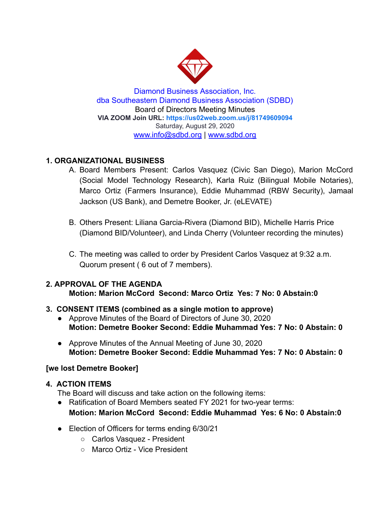

Diamond Business Association, Inc. dba Southeastern Diamond Business Association (SDBD) Board of Directors Meeting Minutes **VIA ZOOM Join URL:<https://us02web.zoom.us/j/81749609094>** Saturday, August 29, 2020 www.info@sdbd.org | [www.sdbd.org](http://www.sdbd.org/)

# **1. ORGANIZATIONAL BUSINESS**

- A. Board Members Present: Carlos Vasquez (Civic San Diego), Marion McCord (Social Model Technology Research), Karla Ruiz (Bilingual Mobile Notaries), Marco Ortiz (Farmers Insurance), Eddie Muhammad (RBW Security), Jamaal Jackson (US Bank), and Demetre Booker, Jr. (eLEVATE)
- B. Others Present: Liliana Garcia-Rivera (Diamond BID), Michelle Harris Price (Diamond BID/Volunteer), and Linda Cherry (Volunteer recording the minutes)
- C. The meeting was called to order by President Carlos Vasquez at 9:32 a.m. Quorum present ( 6 out of 7 members).

#### **2. APPROVAL OF THE AGENDA Motion: Marion McCord Second: Marco Ortiz Yes: 7 No: 0 Abstain:0**

# **3. CONSENT ITEMS (combined as a single motion to approve)**

- Approve Minutes of the Board of Directors of June 30, 2020 **Motion: Demetre Booker Second: Eddie Muhammad Yes: 7 No: 0 Abstain: 0**
- Approve Minutes of the Annual Meeting of June 30, 2020 **Motion: Demetre Booker Second: Eddie Muhammad Yes: 7 No: 0 Abstain: 0**

## **[we lost Demetre Booker]**

## **4. ACTION ITEMS**

The Board will discuss and take action on the following items:

- Ratification of Board Members seated FY 2021 for two-year terms: **Motion: Marion McCord Second: Eddie Muhammad Yes: 6 No: 0 Abstain:0**
- Election of Officers for terms ending 6/30/21
	- Carlos Vasquez President
	- Marco Ortiz Vice President